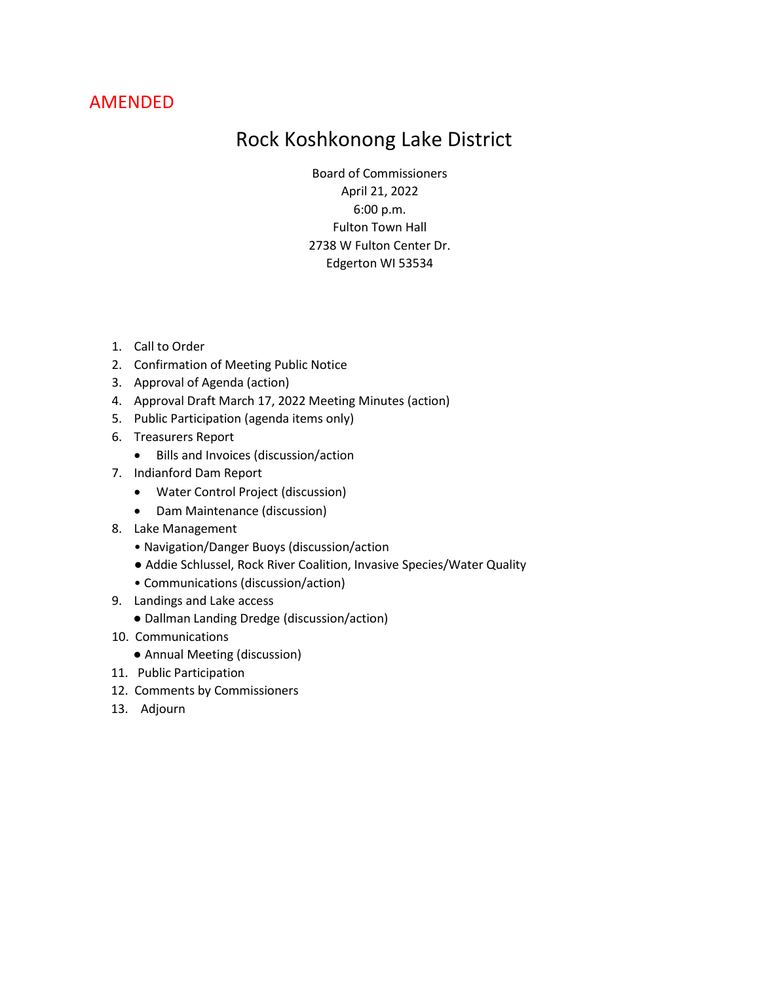## AMENDED

# Rock Koshkonong Lake District

Board of Commissioners April 21, 2022 6:00 p.m. Fulton Town Hall 2738 W Fulton Center Dr. Edgerton WI 53534

- 1. Call to Order
- 2. Confirmation of Meeting Public Notice
- 3. Approval of Agenda (action)
- 4. Approval Draft March 17, 2022 Meeting Minutes (action)
- 5. Public Participation (agenda items only)
- 6. Treasurers Report
	- Bills and Invoices (discussion/action
- 7. Indianford Dam Report
	- Water Control Project (discussion)
	- Dam Maintenance (discussion)
- 8. Lake Management
	- Navigation/Danger Buoys (discussion/action
	- Addie Schlussel, Rock River Coalition, Invasive Species/Water Quality
	- Communications (discussion/action)
- 9. Landings and Lake access
	- Dallman Landing Dredge (discussion/action)
- 10. Communications
	- Annual Meeting (discussion)
- 11. Public Participation
- 12. Comments by Commissioners
- 13. Adjourn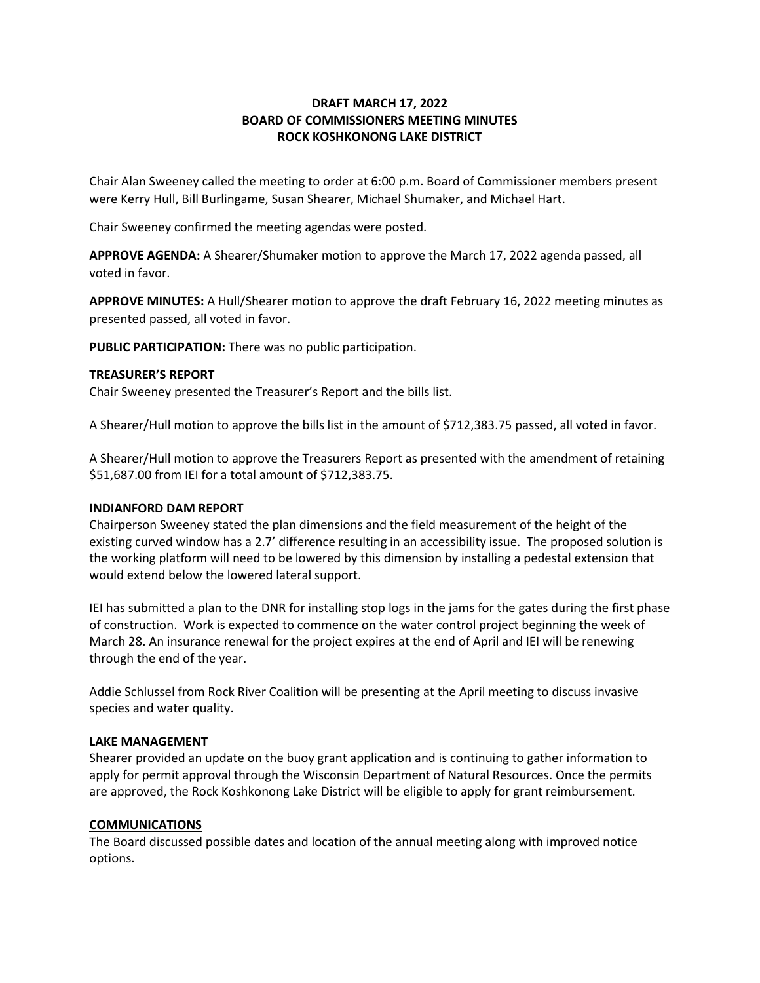#### **DRAFT MARCH 17, 2022 BOARD OF COMMISSIONERS MEETING MINUTES ROCK KOSHKONONG LAKE DISTRICT**

Chair Alan Sweeney called the meeting to order at 6:00 p.m. Board of Commissioner members present were Kerry Hull, Bill Burlingame, Susan Shearer, Michael Shumaker, and Michael Hart.

Chair Sweeney confirmed the meeting agendas were posted.

**APPROVE AGENDA:** A Shearer/Shumaker motion to approve the March 17, 2022 agenda passed, all voted in favor.

**APPROVE MINUTES:** A Hull/Shearer motion to approve the draft February 16, 2022 meeting minutes as presented passed, all voted in favor.

**PUBLIC PARTICIPATION:** There was no public participation.

#### **TREASURER'S REPORT**

Chair Sweeney presented the Treasurer's Report and the bills list.

A Shearer/Hull motion to approve the bills list in the amount of \$712,383.75 passed, all voted in favor.

A Shearer/Hull motion to approve the Treasurers Report as presented with the amendment of retaining \$51,687.00 from IEI for a total amount of \$712,383.75.

#### **INDIANFORD DAM REPORT**

Chairperson Sweeney stated the plan dimensions and the field measurement of the height of the existing curved window has a 2.7' difference resulting in an accessibility issue. The proposed solution is the working platform will need to be lowered by this dimension by installing a pedestal extension that would extend below the lowered lateral support.

IEI has submitted a plan to the DNR for installing stop logs in the jams for the gates during the first phase of construction. Work is expected to commence on the water control project beginning the week of March 28. An insurance renewal for the project expires at the end of April and IEI will be renewing through the end of the year.

Addie Schlussel from Rock River Coalition will be presenting at the April meeting to discuss invasive species and water quality.

#### **LAKE MANAGEMENT**

Shearer provided an update on the buoy grant application and is continuing to gather information to apply for permit approval through the Wisconsin Department of Natural Resources. Once the permits are approved, the Rock Koshkonong Lake District will be eligible to apply for grant reimbursement.

#### **COMMUNICATIONS**

The Board discussed possible dates and location of the annual meeting along with improved notice options.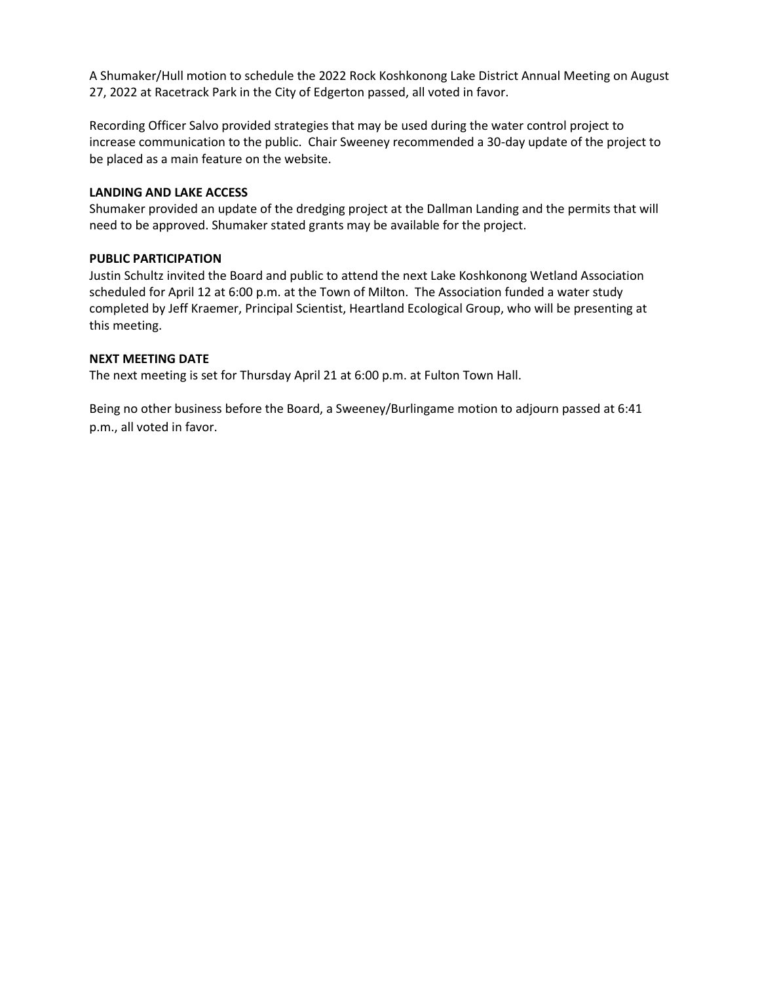A Shumaker/Hull motion to schedule the 2022 Rock Koshkonong Lake District Annual Meeting on August 27, 2022 at Racetrack Park in the City of Edgerton passed, all voted in favor.

Recording Officer Salvo provided strategies that may be used during the water control project to increase communication to the public. Chair Sweeney recommended a 30-day update of the project to be placed as a main feature on the website.

#### **LANDING AND LAKE ACCESS**

Shumaker provided an update of the dredging project at the Dallman Landing and the permits that will need to be approved. Shumaker stated grants may be available for the project.

#### **PUBLIC PARTICIPATION**

Justin Schultz invited the Board and public to attend the next Lake Koshkonong Wetland Association scheduled for April 12 at 6:00 p.m. at the Town of Milton. The Association funded a water study completed by Jeff Kraemer, Principal Scientist, Heartland Ecological Group, who will be presenting at this meeting.

#### **NEXT MEETING DATE**

The next meeting is set for Thursday April 21 at 6:00 p.m. at Fulton Town Hall.

Being no other business before the Board, a Sweeney/Burlingame motion to adjourn passed at 6:41 p.m., all voted in favor.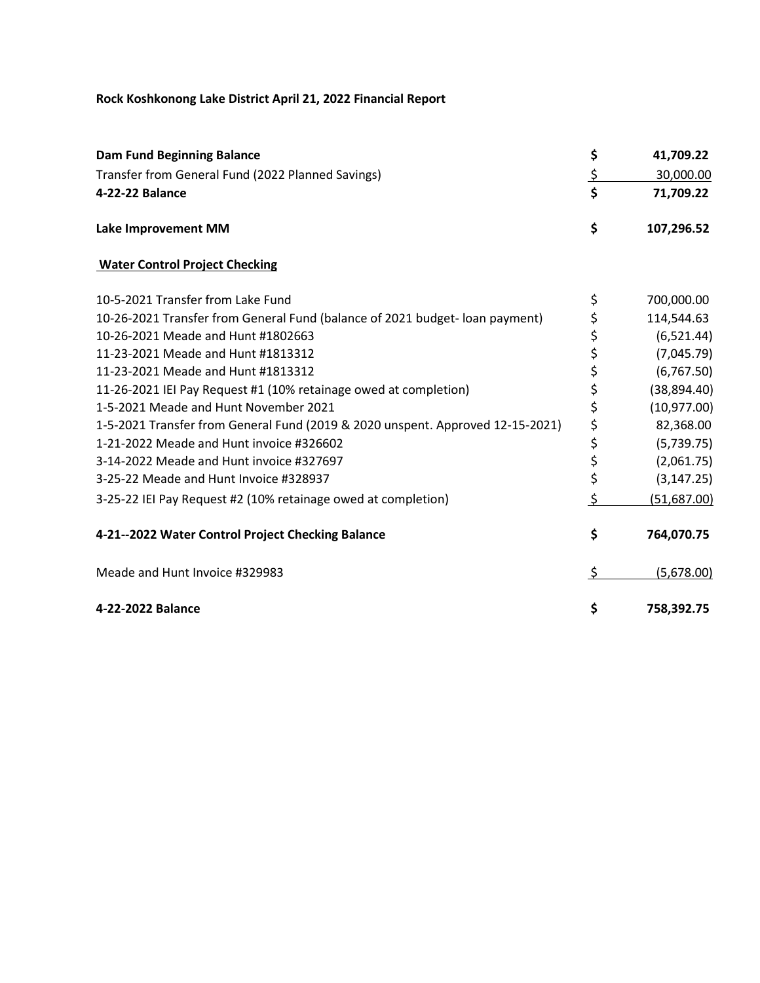### **Rock Koshkonong Lake District April 21, 2022 Financial Report**

| <b>Dam Fund Beginning Balance</b>                                              | \$            | 41,709.22    |
|--------------------------------------------------------------------------------|---------------|--------------|
| Transfer from General Fund (2022 Planned Savings)                              | <u>ځ</u>      | 30,000.00    |
| 4-22-22 Balance                                                                | \$            | 71,709.22    |
| <b>Lake Improvement MM</b>                                                     | \$            | 107,296.52   |
| <b>Water Control Project Checking</b>                                          |               |              |
| 10-5-2021 Transfer from Lake Fund                                              | \$            | 700,000.00   |
| 10-26-2021 Transfer from General Fund (balance of 2021 budget- loan payment)   | \$            | 114,544.63   |
| 10-26-2021 Meade and Hunt #1802663                                             | \$            | (6,521.44)   |
| 11-23-2021 Meade and Hunt #1813312                                             | \$            | (7,045.79)   |
| 11-23-2021 Meade and Hunt #1813312                                             | \$            | (6,767.50)   |
| 11-26-2021 IEI Pay Request #1 (10% retainage owed at completion)               | \$            | (38, 894.40) |
| 1-5-2021 Meade and Hunt November 2021                                          | \$            | (10, 977.00) |
| 1-5-2021 Transfer from General Fund (2019 & 2020 unspent. Approved 12-15-2021) | \$            | 82,368.00    |
| 1-21-2022 Meade and Hunt invoice #326602                                       | \$            | (5,739.75)   |
| 3-14-2022 Meade and Hunt invoice #327697                                       | \$            | (2,061.75)   |
| 3-25-22 Meade and Hunt Invoice #328937                                         | \$            | (3, 147.25)  |
| 3-25-22 IEI Pay Request #2 (10% retainage owed at completion)                  | $\frac{1}{2}$ | (51,687.00)  |
| 4-21--2022 Water Control Project Checking Balance                              | \$            | 764,070.75   |
| Meade and Hunt Invoice #329983                                                 | \$            | (5,678.00)   |
| 4-22-2022 Balance                                                              | \$            | 758,392.75   |